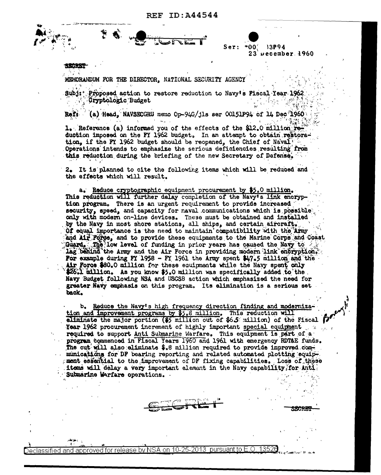$*00'$ 33P94 Ser:  $23$  vecember  $1960$ 

MEMORANDUM FOR THE DIRECTOR, NATIONAL SECURITY AGENCY

Proposed action to restore reduction to Navy's Fiscal Year 1962  $Sub1:$ Cryptologic Budget

(a) Head, NAVSECGRU memo Op-94G/jls ser  $00151P94$  of 14 Dec 1960 Reft

1. Reference (a) informed you of the effects of the \$12.0 million ref duction imposed on the FY 1962 budget. In an attempt to obtain restoration, if the FY 1962 budget should be reopened, the Chief of Naval Operations intends to emphasize the serious deficiencies resulting from this reduction during the briefing of the new Secretary of Defense.

2. It is planned to cite the following items which will be reduced and the effects which will result.

a. Reduce cryptographic equipment procurement by \$5.0 million. This reduction will further delay completion of the Navy's link encryption program. There is an urgent requirement to provide increased security, speed, and capacity for naval communications which is possible only with modern on-line devices. These must be obtained and installed by the Navy in most shore stations, all ships, and certain aircraft. Of equal importance is the need to maintain compatibility with the Army and Air Force, and to provide these equipments to the Marine Corps and Coast Guard. The low level of funding in prior years has caused the Navy to  $\geq$ lag behind the Army and the Air Force in providing modern link encryption. For example during FY 1958 - FY 1961 the Army spent  $\frac{17.5}{10.00}$  and the Air Force \$80.0 million for these equipments while the Navy spent only \$26.1 million. As you know \$5.0 million was specifically added to the. Navy Budget following NSA and USCSB action which emphasized the need for greater Navy emphasis on this program. Its elimination is a serious set back.

b. Reduce the Navy's high frequency direction finding and modernization and improvement programs by \$5.8 million. This reduction will aliminate the major portion (\$5 million out of \$6.5 million) of the Fiscal formation **Year 1962** procurement increment of highly important special equipment  $\sim$ required to support Anti Submarine Warfare. This equipment is part of a program commenced in Fiscal Years 1960 and 1961 with emergency RDT&E funds. The cut will also aliminate \$.8 million required to provide improved communications for DF bearing reporting and related automated plotting equipment essential to the improvement of DF fixing capabilities. Loss of these items will delay a very important alement in the Navy capability, for Anti. Submarine Warfare operations.

approved for release by NSA on 10-25-2013 pursuant to E.O. 13526

)eclassified

land